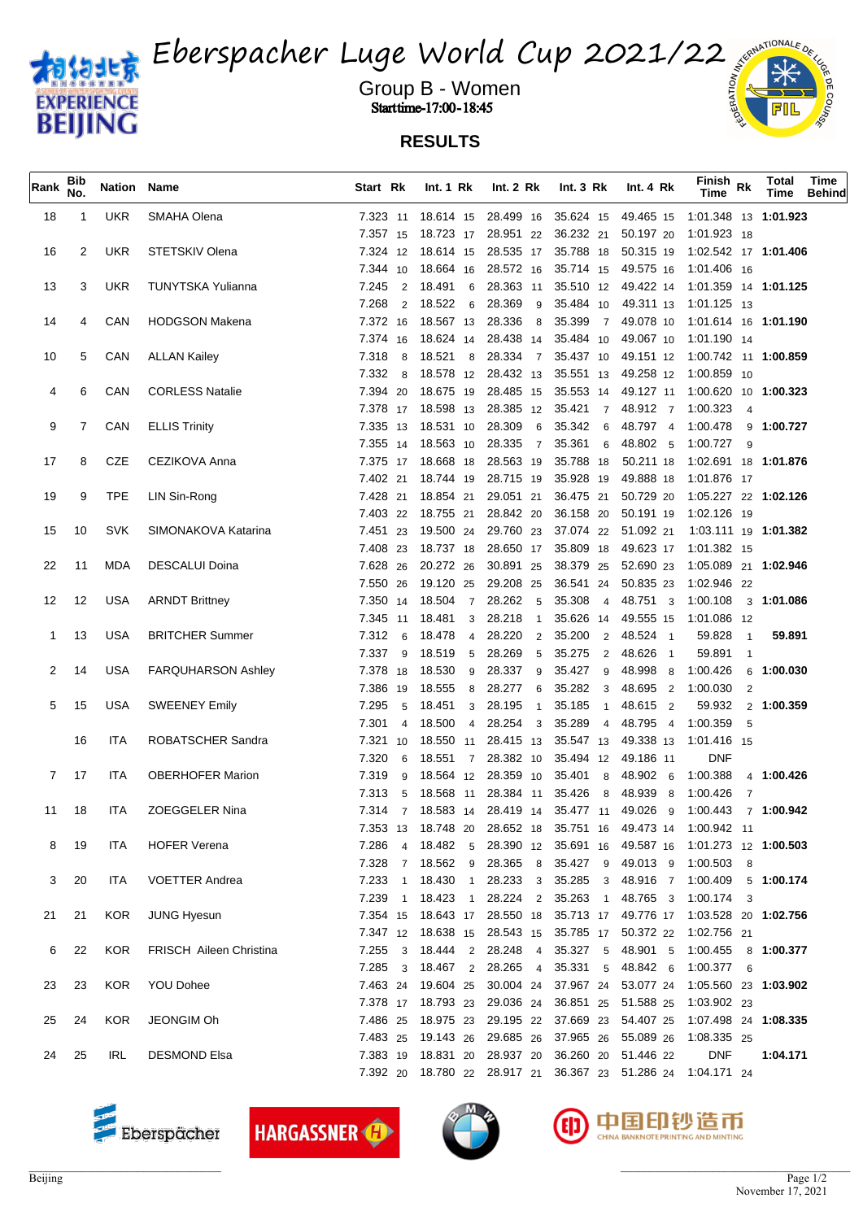

Eberspacher Luge World Cup 2021/22

Group B - Women when the set of  $\frac{2}{3}$  and  $\frac{2}{3}$  and  $\frac{2}{3}$ **Start time-17:00-18:45** 

## **RESULTS**

| Rank | <b>Bib</b><br>No. | Nation Name |                                |            |                    | Start Rk Int. 1 Rk Int. 2 Rk |                                                  | $Int.3 Rk$ $Int.4 Rk$ | Finish <sub>Rk</sub><br><b>Time</b>                                         | <b>Total</b><br>Time | Time<br><b>Behind</b> |
|------|-------------------|-------------|--------------------------------|------------|--------------------|------------------------------|--------------------------------------------------|-----------------------|-----------------------------------------------------------------------------|----------------------|-----------------------|
| 18   | $\mathbf{1}$      | UKR         | SMAHA Olena                    |            |                    |                              |                                                  |                       | 7.323 11 18.614 15 28.499 16 35.624 15 49.465 15 1:01.348 13 1:01.923       |                      |                       |
|      |                   |             |                                |            |                    |                              |                                                  |                       | 7.357 15 18.723 17 28.951 22 36.232 21 50.197 20 1.01.923 18                |                      |                       |
| 16   | 2                 | UKR         | STETSKIV Olena                 |            |                    |                              |                                                  |                       | 7.324 12 18.614 15 28.535 17 35.788 18 50.315 19 1:02.542 17 1:01.406       |                      |                       |
|      |                   |             |                                |            |                    |                              |                                                  |                       | 7.344 10 18.664 16 28.572 16 35.714 15 49.575 16 1.01.406 16                |                      |                       |
| 13   | 3                 | <b>UKR</b>  | TUNYTSKA Yulianna              | 7.245      | 2 18.491 6         |                              |                                                  |                       | 28.363 11 35.510 12 49.422 14 1:01.359 14 1:01.125                          |                      |                       |
|      |                   |             |                                | 7.268      | 2 18.522 6         |                              |                                                  |                       | 28.369 9 35.484 10 49.311 13 1:01.125 13                                    |                      |                       |
| 14   | 4                 | CAN         | <b>HODGSON Makena</b>          |            |                    |                              |                                                  |                       | 7.372 16 18.567 13 28.336 8 35.399 7 49.078 10 1:01.614 16 1:01.190         |                      |                       |
|      |                   |             |                                |            |                    |                              |                                                  |                       | 7.374 16 18.624 14 28.438 14 35.484 10 49.067 10 1.01.190 14                |                      |                       |
| 10   | 5                 | CAN         | <b>ALLAN Kailey</b>            |            | 7.318 8 18.521 8   |                              |                                                  |                       | 28.334 7 35.437 10 49.151 12 1:00.742 11 1:00.859                           |                      |                       |
|      |                   |             |                                |            |                    |                              |                                                  |                       | 7.332 8 18.578 12 28.432 13 35.551 13 49.258 12 1:00.859 10                 |                      |                       |
|      | 6                 | CAN         | <b>CORLESS Natalie</b>         |            |                    |                              |                                                  |                       | 7.394 20 18.675 19 28.485 15 35.553 14 49.127 11 1:00.620 10 1:00.323       |                      |                       |
|      |                   |             |                                |            |                    |                              |                                                  |                       | 7.378 17 18.598 13 28.385 12 35.421 7 48.912 7 1:00.323 4                   |                      |                       |
| 9    |                   | CAN         | <b>ELLIS Trinity</b>           |            |                    |                              |                                                  |                       | 7.335 13 18.531 10 28.309 6 35.342 6 48.797 4 1.00.478 9 1:00.727           |                      |                       |
|      |                   |             |                                |            |                    |                              |                                                  |                       | 7.355 14 18.563 10 28.335 7 35.361 6 48.802 5 1:00.727 9                    |                      |                       |
| 17   | 8                 | CZE         | CEZIKOVA Anna                  |            |                    |                              |                                                  |                       | 7.375 17 18.668 18 28.563 19 35.788 18 50.211 18 1:02.691 18 1:01.876       |                      |                       |
|      |                   |             |                                |            |                    |                              |                                                  |                       | 7.402 21 18.744 19 28.715 19 35.928 19 49.888 18 1.01.876 17                |                      |                       |
| 19   | 9                 | <b>TPE</b>  | LIN Sin-Rong                   |            |                    |                              |                                                  |                       | 7.428 21 18.854 21 29.051 21 36.475 21 50.729 20 1:05.227 22 1:02.126       |                      |                       |
|      |                   |             |                                |            |                    |                              |                                                  |                       | 7.403 22 18.755 21 28.842 20 36.158 20 50.191 19 1.02.126 19                |                      |                       |
| 15   | 10                | SVK         | SIMONAKOVA Katarina            |            |                    |                              | 7.451 23 19.500 24 29.760 23 37.074 22 51.092 21 |                       | 1:03.111 19 <b>1:01.382</b>                                                 |                      |                       |
|      |                   |             |                                |            |                    |                              |                                                  |                       | 7.408 23 18.737 18 28.650 17 35.809 18 49.623 17 1:01.382 15                |                      |                       |
| 22   | 11                | MDA         | <b>DESCALUI Doina</b>          |            | 7.628 26 20.272 26 |                              |                                                  |                       | 30.891 25 38.379 25 52.690 23 1:05.089 21 1:02.946                          |                      |                       |
|      |                   |             |                                |            |                    |                              |                                                  |                       | 7.550 26 19.120 25 29.208 25 36.541 24 50.835 23 1:02.946 22                |                      |                       |
| 12   | 12                | USA         | <b>ARNDT Brittney</b>          |            |                    |                              |                                                  |                       | 7.350 14 18.504 7 28.262 5 35.308 4 48.751 3 1:00.108 3 1:01.086            |                      |                       |
|      |                   |             |                                |            |                    |                              |                                                  |                       | 7.345 11 18.481 3 28.218 1 35.626 14 49.555 15 1.01.086 12                  |                      |                       |
| 1    | 13                | USA         | <b>BRITCHER Summer</b>         |            |                    |                              | 7.312 6 18.478 4 28.220 2 35.200 2 48.524 1      |                       | 59.828<br>$\overline{1}$                                                    | 59.891               |                       |
|      |                   |             |                                |            |                    |                              | 7.337 9 18.519 5 28.269 5 35.275 2 48.626 1      |                       | 59.891 1                                                                    |                      |                       |
| 2    | 14                | <b>USA</b>  | <b>FARQUHARSON Ashley</b>      |            | 7.378 18 18.530 9  |                              | 28.337 9 35.427 9 48.998 8 1:00.426              |                       |                                                                             | 6 1:00.030           |                       |
|      |                   |             |                                |            | 7.386 19 18.555 8  |                              |                                                  |                       | 28.277 6 35.282 3 48.695 2 1:00.030 2                                       |                      |                       |
| 5    | 15                | <b>USA</b>  | <b>SWEENEY Emily</b>           | 7.295      | 5 18.451 3         | 28.195<br>$\overline{1}$     | 35.185 1                                         | 48.615 2              | 59.932 2 1:00.359                                                           |                      |                       |
|      |                   |             |                                | 7.301      |                    |                              |                                                  |                       | 4 18.500 4 28.254 3 35.289 4 48.795 4 1:00.359 5                            |                      |                       |
|      | 16                | ITA         | ROBATSCHER Sandra              |            |                    |                              |                                                  |                       | 7.321 10 18.550 11 28.415 13 35.547 13 49.338 13 1:01.416 15                |                      |                       |
|      |                   |             |                                | 7.320      |                    |                              | 6 18.551 7 28.382 10 35.494 12 49.186 11         |                       | <b>DNF</b>                                                                  |                      |                       |
|      | 7 17              | ITA         | <b>OBERHOFER Marion</b>        | 7.319<br>9 |                    |                              | 18.564 12 28.359 10 35.401 8 48.902 6 1:00.388   |                       |                                                                             | 4 1:00.426           |                       |
|      |                   |             |                                | 7.313      |                    |                              | 5 18.568 11 28.384 11 35.426 8 48.939 8 1:00.426 |                       | $\overline{7}$                                                              |                      |                       |
|      | 11 18             | ITA         | <b>ZOEGGELER Nina</b>          |            |                    |                              |                                                  |                       | 7.314 7 18.583 14 28.419 14 35.477 11 49.026 9 1:00.443 7 1:00.942          |                      |                       |
|      |                   |             |                                |            | 7.353 13 18.748 20 |                              |                                                  |                       | 28.652 18 35.751 16 49.473 14 1:00.942 11                                   |                      |                       |
| 8    | -19               | <b>ITA</b>  | <b>HOFER Verena</b>            |            |                    |                              |                                                  |                       | 7.286 4 18.482 5 28.390 12 35.691 16 49.587 16 1:01.273 12 1: <b>00.503</b> |                      |                       |
|      |                   |             |                                |            |                    |                              |                                                  |                       | 7.328 7 18.562 9 28.365 8 35.427 9 49.013 9 1:00.503 8                      |                      |                       |
| 3    | 20                | ITA         | <b>VOETTER Andrea</b>          |            |                    |                              |                                                  |                       | 7.233 1 18.430 1 28.233 3 35.285 3 48.916 7 1:00.409 5 1:00.174             |                      |                       |
|      |                   |             |                                |            |                    |                              |                                                  |                       | 7.239 1 18.423 1 28.224 2 35.263 1 48.765 3 1:00.174 3                      |                      |                       |
| 21   | 21                | <b>KOR</b>  | <b>JUNG Hyesun</b>             |            |                    |                              |                                                  |                       | 7.354 15 18.643 17 28.550 18 35.713 17 49.776 17 1:03.528 20 1:02.756       |                      |                       |
|      |                   |             |                                |            |                    |                              |                                                  |                       | 7.347 12 18.638 15 28.543 15 35.785 17 50.372 22 1:02.756 21                |                      |                       |
| 6    | 22                | KOR         | <b>FRISCH Aileen Christina</b> |            |                    |                              |                                                  |                       | 7.255 3 18.444 2 28.248 4 35.327 5 48.901 5 1:00.455 8 1:00.377             |                      |                       |
|      |                   |             |                                |            |                    |                              |                                                  |                       | 7.285 3 18.467 2 28.265 4 35.331 5 48.842 6 1:00.377 6                      |                      |                       |
| 23   | 23                | <b>KOR</b>  | <b>YOU Dohee</b>               |            |                    |                              |                                                  |                       | 7.463 24 19.604 25 30.004 24 37.967 24 53.077 24 1:05.560 23 1:03.902       |                      |                       |
|      |                   |             |                                |            |                    |                              |                                                  |                       | 7.378 17 18.793 23 29.036 24 36.851 25 51.588 25 1.03.902 23                |                      |                       |
| 25   | 24                | KOR.        | JEONGIM Oh                     |            |                    |                              |                                                  |                       | 7.486 25 18.975 23 29.195 22 37.669 23 54.407 25 1:07.498 24 1:08.335       |                      |                       |
|      |                   |             |                                |            |                    |                              |                                                  |                       | 7.483 25 19.143 26 29.685 26 37.965 26 55.089 26 1:08.335 25                |                      |                       |
| 24   | 25                | <b>IRL</b>  | <b>DESMOND Elsa</b>            |            |                    |                              | 7.383 19 18.831 20 28.937 20 36.260 20 51.446 22 |                       | <b>DNF</b>                                                                  | 1:04.171             |                       |
|      |                   |             |                                |            |                    |                              |                                                  |                       | 7.392 20 18.780 22 28.917 21 36.367 23 51.286 24 1:04.171 24                |                      |                       |